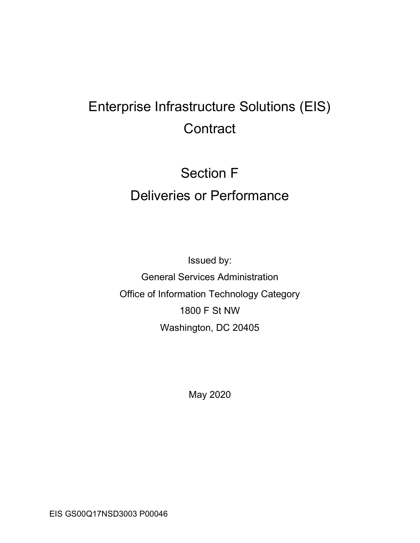## Enterprise Infrastructure Solutions (EIS) **Contract**

# Section F Deliveries or Performance

Issued by: General Services Administration Office of Information Technology Category 1800 F St NW Washington, DC 20405

May 2020

EIS GS00Q17NSD3003 P00046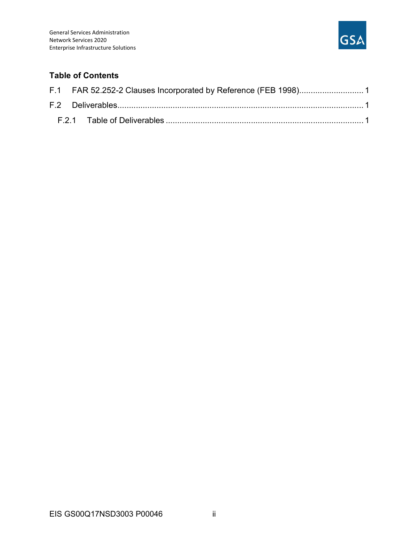

#### Table of Contents

|  | F.1 FAR 52.252-2 Clauses Incorporated by Reference (FEB 1998) 1 |  |
|--|-----------------------------------------------------------------|--|
|  |                                                                 |  |
|  |                                                                 |  |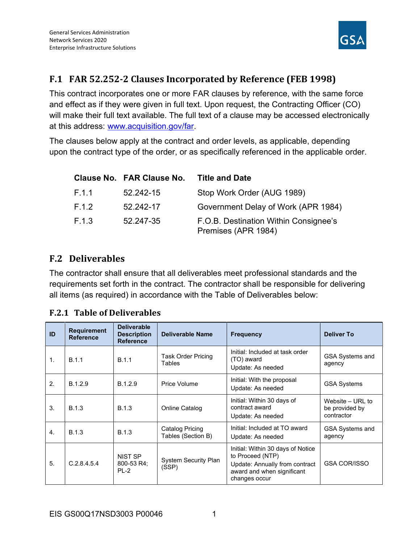

### F.1 FAR 52.252-2 Clauses Incorporated by Reference (FEB 1998)

This contract incorporates one or more FAR clauses by reference, with the same force and effect as if they were given in full text. Upon request, the Contracting Officer (CO) will make their full text available. The full text of a clause may be accessed electronically at this address: www.acquisition.gov/far.

The clauses below apply at the contract and order levels, as applicable, depending upon the contract type of the order, or as specifically referenced in the applicable order.

|       | <b>Clause No. FAR Clause No.</b> | <b>Title and Date</b>                                        |
|-------|----------------------------------|--------------------------------------------------------------|
| F.1.1 | 52.242-15                        | Stop Work Order (AUG 1989)                                   |
| F.1.2 | 52.242-17                        | Government Delay of Work (APR 1984)                          |
| F.1.3 | 52.247-35                        | F.O.B. Destination Within Consignee's<br>Premises (APR 1984) |

### F.2 Deliverables

The contractor shall ensure that all deliverables meet professional standards and the requirements set forth in the contract. The contractor shall be responsible for delivering all items (as required) in accordance with the Table of Deliverables below:

| ID               | <b>Requirement</b><br><b>Reference</b> | <b>Deliverable</b><br><b>Description</b><br><b>Reference</b> | Deliverable Name                      | <b>Frequency</b>                                                                                                                       | <b>Deliver To</b>                                |
|------------------|----------------------------------------|--------------------------------------------------------------|---------------------------------------|----------------------------------------------------------------------------------------------------------------------------------------|--------------------------------------------------|
| $\mathbf{1}$ .   | B.1.1                                  | B.1.1                                                        | <b>Task Order Pricing</b><br>Tables   | Initial: Included at task order<br>(TO) award<br>Update: As needed                                                                     | <b>GSA Systems and</b><br>agency                 |
| 2.               | B.1.2.9                                | B.1.2.9                                                      | Price Volume                          | Initial: With the proposal<br>Update: As needed                                                                                        | <b>GSA Systems</b>                               |
| $\mathbf{3}$     | <b>B.1.3</b>                           | <b>B.1.3</b>                                                 | Online Catalog                        | Initial: Within 30 days of<br>contract award<br>Update: As needed                                                                      | Website – URL to<br>be provided by<br>contractor |
| $\overline{4}$ . | B.1.3                                  | <b>B.1.3</b>                                                 | Catalog Pricing<br>Tables (Section B) | Initial: Included at TO award<br>Update: As needed                                                                                     | <b>GSA Systems and</b><br>agency                 |
| 5.               | C.2.8.4.5.4                            | NIST SP<br>800-53 R4:<br>$PL-2$                              | <b>System Security Plan</b><br>(SSP)  | Initial: Within 30 days of Notice<br>to Proceed (NTP)<br>Update: Annually from contract<br>award and when significant<br>changes occur | <b>GSA COR/ISSO</b>                              |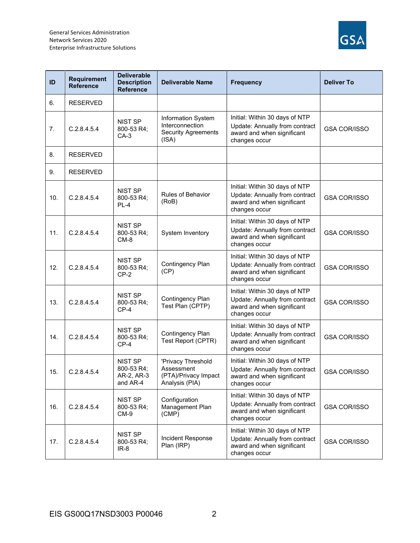

| ID  | <b>Requirement</b><br><b>Reference</b> | <b>Deliverable</b><br><b>Description</b><br><b>Reference</b> | <b>Deliverable Name</b>                                                      | <b>Frequency</b>                                                                                                | <b>Deliver To</b>   |
|-----|----------------------------------------|--------------------------------------------------------------|------------------------------------------------------------------------------|-----------------------------------------------------------------------------------------------------------------|---------------------|
| 6.  | <b>RESERVED</b>                        |                                                              |                                                                              |                                                                                                                 |                     |
| 7.  | C.2.8.4.5.4                            | NIST SP<br>800-53 R4;<br>CA-3                                | Information System<br>Interconnection<br><b>Security Agreements</b><br>(ISA) | Initial: Within 30 days of NTP<br>Update: Annually from contract<br>award and when significant<br>changes occur | <b>GSA COR/ISSO</b> |
| 8.  | <b>RESERVED</b>                        |                                                              |                                                                              |                                                                                                                 |                     |
| 9.  | <b>RESERVED</b>                        |                                                              |                                                                              |                                                                                                                 |                     |
| 10. | C.2.8.4.5.4                            | NIST SP<br>800-53 R4;<br>$PL-4$                              | <b>Rules of Behavior</b><br>(RoB)                                            | Initial: Within 30 days of NTP<br>Update: Annually from contract<br>award and when significant<br>changes occur | <b>GSA COR/ISSO</b> |
| 11. | C.2.8.4.5.4                            | NIST SP<br>800-53 R4;<br>$CM-8$                              | System Inventory                                                             | Initial: Within 30 days of NTP<br>Update: Annually from contract<br>award and when significant<br>changes occur | <b>GSA COR/ISSO</b> |
| 12. | C.2.8.4.5.4                            | NIST SP<br>800-53 R4;<br>$CP-2$                              | Contingency Plan<br>(CP)                                                     | Initial: Within 30 days of NTP<br>Update: Annually from contract<br>award and when significant<br>changes occur | <b>GSA COR/ISSO</b> |
| 13. | C.2.8.4.5.4                            | NIST SP<br>800-53 R4;<br>$CP-4$                              | Contingency Plan<br>Test Plan (CPTP)                                         | Initial: Within 30 days of NTP<br>Update: Annually from contract<br>award and when significant<br>changes occur | <b>GSA COR/ISSO</b> |
| 14. | C.2.8.4.5.4                            | NIST SP<br>800-53 R4;<br>$CP-4$                              | Contingency Plan<br>Test Report (CPTR)                                       | Initial: Within 30 days of NTP<br>Update: Annually from contract<br>award and when significant<br>changes occur | <b>GSA COR/ISSO</b> |
| 15. | C.2.8.4.5.4                            | <b>NIST SP</b><br>800-53 R4;<br>AR-2, AR-3<br>and AR-4       | 'Privacy Threshold<br>Assessment<br>(PTA)/Privacy Impact<br>Analysis (PIA)   | Initial: Within 30 days of NTP<br>Update: Annually from contract<br>award and when significant<br>changes occur | <b>GSA COR/ISSO</b> |
| 16. | C.2.8.4.5.4                            | NIST SP<br>800-53 R4;<br>CM-9                                | Configuration<br>Management Plan<br>(CMP)                                    | Initial: Within 30 days of NTP<br>Update: Annually from contract<br>award and when significant<br>changes occur | <b>GSA COR/ISSO</b> |
| 17. | C.2.8.4.5.4                            | NIST SP<br>800-53 R4;<br>$IR-8$                              | Incident Response<br>Plan (IRP)                                              | Initial: Within 30 days of NTP<br>Update: Annually from contract<br>award and when significant<br>changes occur | <b>GSA COR/ISSO</b> |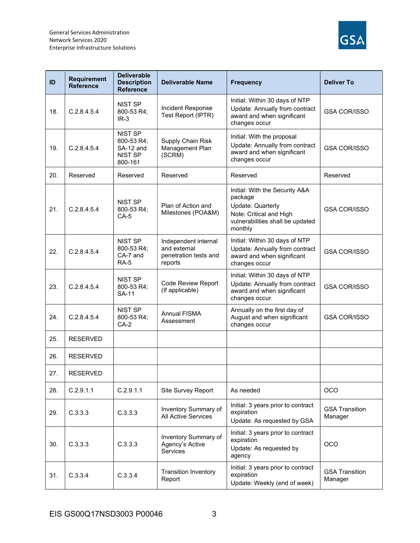

| ID  | Requirement<br><b>Reference</b> | <b>Deliverable</b><br><b>Description</b><br><b>Reference</b>           | <b>Deliverable Name</b>                                                  | <b>Frequency</b>                                                                                                                         | <b>Deliver To</b>                |
|-----|---------------------------------|------------------------------------------------------------------------|--------------------------------------------------------------------------|------------------------------------------------------------------------------------------------------------------------------------------|----------------------------------|
| 18. | C.2.8.4.5.4                     | NIST SP<br>800-53 R4;<br>$IR-3$                                        | Incident Response<br>Test Report (IPTR)                                  | Initial: Within 30 days of NTP<br>Update: Annually from contract<br>award and when significant<br>changes occur                          | <b>GSA COR/ISSO</b>              |
| 19. | C.2.8.4.5.4                     | <b>NIST SP</b><br>800-53 R4;<br>SA-12 and<br><b>NIST SP</b><br>800-161 | Supply Chain Risk<br>Management Plan<br>(SCRM)                           | Initial: With the proposal<br>Update: Annually from contract<br>award and when significant<br>changes occur                              | <b>GSA COR/ISSO</b>              |
| 20. | Reserved                        | Reserved                                                               | Reserved                                                                 | Reserved                                                                                                                                 | Reserved                         |
| 21. | C.2.8.4.5.4                     | <b>NIST SP</b><br>800-53 R4;<br>$CA-5$                                 | Plan of Action and<br>Milestones (POA&M)                                 | Initial: With the Security A&A<br>package<br>Update: Quarterly<br>Note: Critical and High<br>vulnerabilities shall be updated<br>monthly | <b>GSA COR/ISSO</b>              |
| 22. | C.2.8.4.5.4                     | <b>NIST SP</b><br>800-53 R4;<br>CA-7 and<br><b>RA-5</b>                | Independent internal<br>and external<br>penetration tests and<br>reports | Initial: Within 30 days of NTP<br>Update: Annually from contract<br>award and when significant<br>changes occur                          | <b>GSA COR/ISSO</b>              |
| 23. | C.2.8.4.5.4                     | <b>NIST SP</b><br>800-53 R4;<br><b>SA-11</b>                           | <b>Code Review Report</b><br>(If applicable)                             | Initial: Within 30 days of NTP<br>Update: Annually from contract<br>award and when significant<br>changes occur                          | <b>GSA COR/ISSO</b>              |
| 24. | C.2.8.4.5.4                     | <b>NIST SP</b><br>800-53 R4;<br>$CA-2$                                 | Annual FISMA<br>Assessment                                               | Annually on the first day of<br>August and when significant<br>changes occur                                                             | <b>GSA COR/ISSO</b>              |
| 25. | <b>RESERVED</b>                 |                                                                        |                                                                          |                                                                                                                                          |                                  |
| 26. | <b>RESERVED</b>                 |                                                                        |                                                                          |                                                                                                                                          |                                  |
| 27. | <b>RESERVED</b>                 |                                                                        |                                                                          |                                                                                                                                          |                                  |
| 28. | C.2.9.1.1                       | C.2.9.1.1                                                              | Site Survey Report                                                       | As needed                                                                                                                                | OCO                              |
| 29. | C.3.3.3                         | C.3.3.3                                                                | Inventory Summary of<br>All Active Services                              | Initial: 3 years prior to contract<br>expiration<br>Update: As requested by GSA                                                          | <b>GSA Transition</b><br>Manager |
| 30. | C.3.3.3                         | C.3.3.3                                                                | Inventory Summary of<br>Agency's Active<br>Services                      | Initial: 3 years prior to contract<br>expiration<br>Update: As requested by<br>agency                                                    | OCO                              |
| 31. | C.3.3.4                         | C.3.3.4                                                                | <b>Transition Inventory</b><br>Report                                    | Initial: 3 years prior to contract<br>expiration<br>Update: Weekly (end of week)                                                         | <b>GSA Transition</b><br>Manager |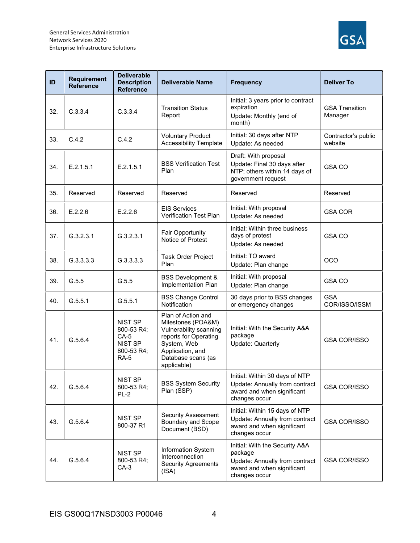

| ID  | <b>Requirement</b><br><b>Reference</b> | <b>Deliverable</b><br><b>Description</b><br><b>Reference</b>                          | <b>Deliverable Name</b>                                                                                                                                             | <b>Frequency</b>                                                                                                           | <b>Deliver To</b>                |
|-----|----------------------------------------|---------------------------------------------------------------------------------------|---------------------------------------------------------------------------------------------------------------------------------------------------------------------|----------------------------------------------------------------------------------------------------------------------------|----------------------------------|
| 32. | C.3.3.4                                | C.3.3.4                                                                               | <b>Transition Status</b><br>Report                                                                                                                                  | Initial: 3 years prior to contract<br>expiration<br>Update: Monthly (end of<br>month)                                      | <b>GSA Transition</b><br>Manager |
| 33. | C.4.2                                  | C.4.2                                                                                 | <b>Voluntary Product</b><br><b>Accessibility Template</b>                                                                                                           | Initial: 30 days after NTP<br>Update: As needed                                                                            | Contractor's public<br>website   |
| 34. | E.2.1.5.1                              | E.2.1.5.1                                                                             | <b>BSS Verification Test</b><br>Plan                                                                                                                                | Draft: With proposal<br>Update: Final 30 days after<br>NTP; others within 14 days of<br>government request                 | <b>GSA CO</b>                    |
| 35. | Reserved                               | Reserved                                                                              | Reserved                                                                                                                                                            | Reserved                                                                                                                   | Reserved                         |
| 36. | E.2.2.6                                | E.2.2.6                                                                               | <b>EIS Services</b><br>Verification Test Plan                                                                                                                       | Initial: With proposal<br>Update: As needed                                                                                | <b>GSA COR</b>                   |
| 37. | G.3.2.3.1                              | G.3.2.3.1                                                                             | Fair Opportunity<br>Notice of Protest                                                                                                                               | Initial: Within three business<br>days of protest<br>Update: As needed                                                     | <b>GSA CO</b>                    |
| 38. | G.3.3.3.3                              | G.3.3.3.3                                                                             | Task Order Project<br>Plan                                                                                                                                          | Initial: TO award<br>Update: Plan change                                                                                   | <b>OCO</b>                       |
| 39. | G.5.5                                  | G.5.5                                                                                 | <b>BSS Development &amp;</b><br>Implementation Plan                                                                                                                 | Initial: With proposal<br>Update: Plan change                                                                              | <b>GSA CO</b>                    |
| 40. | G.5.5.1                                | G.5.5.1                                                                               | <b>BSS Change Control</b><br>Notification                                                                                                                           | 30 days prior to BSS changes<br>or emergency changes                                                                       | <b>GSA</b><br>COR/ISSO/ISSM      |
| 41. | G.5.6.4                                | <b>NIST SP</b><br>800-53 R4;<br>$CA-5$<br><b>NIST SP</b><br>800-53 R4;<br><b>RA-5</b> | Plan of Action and<br>Milestones (POA&M)<br>Vulnerability scanning<br>reports for Operating<br>System, Web<br>Application, and<br>Database scans (as<br>applicable) | Initial: With the Security A&A<br>package<br>Update: Quarterly                                                             | <b>GSA COR/ISSO</b>              |
| 42. | G.5.6.4                                | NIST SP<br>800-53 R4;<br>PL-2                                                         | <b>BSS System Security</b><br>Plan (SSP)                                                                                                                            | Initial: Within 30 days of NTP<br>Update: Annually from contract<br>award and when significant<br>changes occur            | <b>GSA COR/ISSO</b>              |
| 43. | G.5.6.4                                | NIST SP<br>800-37 R1                                                                  | <b>Security Assessment</b><br><b>Boundary and Scope</b><br>Document (BSD)                                                                                           | Initial: Within 15 days of NTP<br>Update: Annually from contract<br>award and when significant<br>changes occur            | <b>GSA COR/ISSO</b>              |
| 44. | G.5.6.4                                | NIST SP<br>800-53 R4;<br>$CA-3$                                                       | Information System<br>Interconnection<br><b>Security Agreements</b><br>(ISA)                                                                                        | Initial: With the Security A&A<br>package<br>Update: Annually from contract<br>award and when significant<br>changes occur | <b>GSA COR/ISSO</b>              |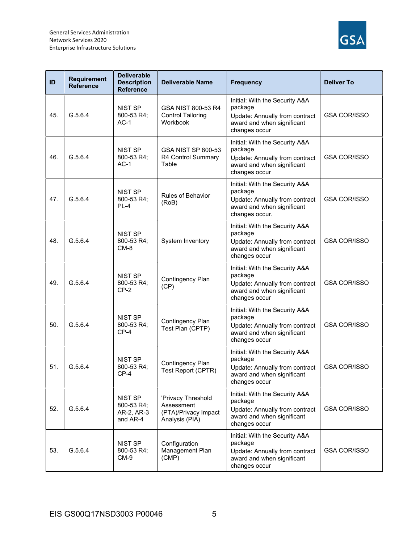

| ID  | <b>Requirement</b><br><b>Reference</b> | <b>Deliverable</b><br><b>Description</b><br><b>Reference</b> | <b>Deliverable Name</b>                                                    | <b>Frequency</b>                                                                                                            | <b>Deliver To</b>   |
|-----|----------------------------------------|--------------------------------------------------------------|----------------------------------------------------------------------------|-----------------------------------------------------------------------------------------------------------------------------|---------------------|
| 45. | G.5.6.4                                | <b>NIST SP</b><br>800-53 R4;<br>$AC-1$                       | GSA NIST 800-53 R4<br><b>Control Tailoring</b><br>Workbook                 | Initial: With the Security A&A<br>package<br>Update: Annually from contract<br>award and when significant<br>changes occur  | <b>GSA COR/ISSO</b> |
| 46. | G.5.6.4                                | <b>NIST SP</b><br>800-53 R4;<br>$AC-1$                       | <b>GSA NIST SP 800-53</b><br>R4 Control Summary<br>Table                   | Initial: With the Security A&A<br>package<br>Update: Annually from contract<br>award and when significant<br>changes occur  | <b>GSA COR/ISSO</b> |
| 47. | G.5.6.4                                | <b>NIST SP</b><br>800-53 R4;<br>$PL-4$                       | <b>Rules of Behavior</b><br>(RoB)                                          | Initial: With the Security A&A<br>package<br>Update: Annually from contract<br>award and when significant<br>changes occur. | <b>GSA COR/ISSO</b> |
| 48. | G.5.6.4                                | <b>NIST SP</b><br>800-53 R4;<br>$CM-8$                       | System Inventory                                                           | Initial: With the Security A&A<br>package<br>Update: Annually from contract<br>award and when significant<br>changes occur  | <b>GSA COR/ISSO</b> |
| 49. | G.5.6.4                                | <b>NIST SP</b><br>800-53 R4;<br>$CP-2$                       | Contingency Plan<br>(CP)                                                   | Initial: With the Security A&A<br>package<br>Update: Annually from contract<br>award and when significant<br>changes occur  | <b>GSA COR/ISSO</b> |
| 50. | G.5.6.4                                | <b>NIST SP</b><br>800-53 R4;<br>$CP-4$                       | Contingency Plan<br>Test Plan (CPTP)                                       | Initial: With the Security A&A<br>package<br>Update: Annually from contract<br>award and when significant<br>changes occur  | <b>GSA COR/ISSO</b> |
| 51. | G.5.6.4                                | <b>NIST SP</b><br>800-53 R4;<br>$CP-4$                       | Contingency Plan<br>Test Report (CPTR)                                     | Initial: With the Security A&A<br>package<br>Update: Annually from contract<br>award and when significant<br>changes occur  | <b>GSA COR/ISSO</b> |
| 52. | G.5.6.4                                | <b>NIST SP</b><br>800-53 R4;<br>AR-2, AR-3<br>and AR-4       | 'Privacy Threshold<br>Assessment<br>(PTA)/Privacy Impact<br>Analysis (PIA) | Initial: With the Security A&A<br>package<br>Update: Annually from contract<br>award and when significant<br>changes occur  | <b>GSA COR/ISSO</b> |
| 53. | G.5.6.4                                | NIST SP<br>800-53 R4;<br>$CM-9$                              | Configuration<br>Management Plan<br>(CMP)                                  | Initial: With the Security A&A<br>package<br>Update: Annually from contract<br>award and when significant<br>changes occur  | GSA COR/ISSO        |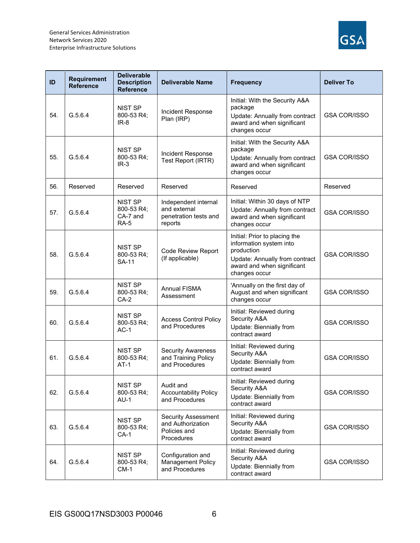

| ID  | <b>Requirement</b><br><b>Reference</b> | <b>Deliverable</b><br><b>Description</b><br><b>Reference</b> | <b>Deliverable Name</b>                                                       | <b>Frequency</b>                                                                                                                                        | <b>Deliver To</b>   |
|-----|----------------------------------------|--------------------------------------------------------------|-------------------------------------------------------------------------------|---------------------------------------------------------------------------------------------------------------------------------------------------------|---------------------|
| 54. | G.5.6.4                                | <b>NIST SP</b><br>800-53 R4;<br>$IR-8$                       | Incident Response<br>Plan (IRP)                                               | Initial: With the Security A&A<br>package<br>Update: Annually from contract<br>award and when significant<br>changes occur                              | <b>GSA COR/ISSO</b> |
| 55. | G.5.6.4                                | <b>NIST SP</b><br>800-53 R4;<br>$IR-3$                       | Incident Response<br>Test Report (IRTR)                                       | Initial: With the Security A&A<br>package<br>Update: Annually from contract<br>award and when significant<br>changes occur                              | <b>GSA COR/ISSO</b> |
| 56. | Reserved                               | Reserved                                                     | Reserved                                                                      | Reserved                                                                                                                                                | Reserved            |
| 57. | G.5.6.4                                | <b>NIST SP</b><br>800-53 R4;<br>CA-7 and<br><b>RA-5</b>      | Independent internal<br>and external<br>penetration tests and<br>reports      | Initial: Within 30 days of NTP<br>Update: Annually from contract<br>award and when significant<br>changes occur                                         | <b>GSA COR/ISSO</b> |
| 58. | G.5.6.4                                | <b>NIST SP</b><br>800-53 R4;<br><b>SA-11</b>                 | <b>Code Review Report</b><br>(If applicable)                                  | Initial: Prior to placing the<br>information system into<br>production<br>Update: Annually from contract<br>award and when significant<br>changes occur | <b>GSA COR/ISSO</b> |
| 59. | G.5.6.4                                | <b>NIST SP</b><br>800-53 R4;<br>$CA-2$                       | Annual FISMA<br>Assessment                                                    | 'Annually on the first day of<br>August and when significant<br>changes occur                                                                           | <b>GSA COR/ISSO</b> |
| 60. | G.5.6.4                                | <b>NIST SP</b><br>800-53 R4;<br>$AC-1$                       | <b>Access Control Policy</b><br>and Procedures                                | Initial: Reviewed during<br>Security A&A<br>Update: Biennially from<br>contract award                                                                   | <b>GSA COR/ISSO</b> |
| 61. | G.5.6.4                                | <b>NIST SP</b><br>800-53 R4;<br>$AT-1$                       | <b>Security Awareness</b><br>and Training Policy<br>and Procedures            | Initial: Reviewed during<br>Security A&A<br>Update: Biennially from<br>contract award                                                                   | <b>GSA COR/ISSO</b> |
| 62. | G.5.6.4                                | NIST SP<br>800-53 R4;<br>$AU-1$                              | Audit and<br><b>Accountability Policy</b><br>and Procedures                   | Initial: Reviewed during<br>Security A&A<br>Update: Biennially from<br>contract award                                                                   | <b>GSA COR/ISSO</b> |
| 63. | G.5.6.4                                | NIST SP<br>800-53 R4;<br>$CA-1$                              | <b>Security Assessment</b><br>and Authorization<br>Policies and<br>Procedures | Initial: Reviewed during<br>Security A&A<br>Update: Biennially from<br>contract award                                                                   | <b>GSA COR/ISSO</b> |
| 64. | G.5.6.4                                | NIST SP<br>800-53 R4;<br>$CM-1$                              | Configuration and<br>Management Policy<br>and Procedures                      | Initial: Reviewed during<br>Security A&A<br>Update: Biennially from<br>contract award                                                                   | <b>GSA COR/ISSO</b> |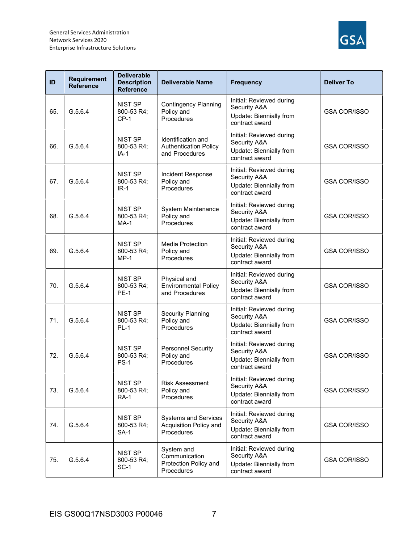

| ID  | <b>Requirement</b><br><b>Reference</b> | <b>Deliverable</b><br><b>Description</b><br><b>Reference</b> | <b>Deliverable Name</b>                                              | <b>Frequency</b>                                                                      | <b>Deliver To</b>   |
|-----|----------------------------------------|--------------------------------------------------------------|----------------------------------------------------------------------|---------------------------------------------------------------------------------------|---------------------|
| 65. | G.5.6.4                                | NIST SP<br>800-53 R4;<br>$CP-1$                              | <b>Contingency Planning</b><br>Policy and<br>Procedures              | Initial: Reviewed during<br>Security A&A<br>Update: Biennially from<br>contract award | <b>GSA COR/ISSO</b> |
| 66. | G.5.6.4                                | <b>NIST SP</b><br>800-53 R4;<br>IA-1                         | Identification and<br><b>Authentication Policy</b><br>and Procedures | Initial: Reviewed during<br>Security A&A<br>Update: Biennially from<br>contract award | <b>GSA COR/ISSO</b> |
| 67. | G.5.6.4                                | <b>NIST SP</b><br>800-53 R4;<br>$IR-1$                       | Incident Response<br>Policy and<br>Procedures                        | Initial: Reviewed during<br>Security A&A<br>Update: Biennially from<br>contract award | <b>GSA COR/ISSO</b> |
| 68. | G.5.6.4                                | <b>NIST SP</b><br>800-53 R4;<br>$MA-1$                       | System Maintenance<br>Policy and<br>Procedures                       | Initial: Reviewed during<br>Security A&A<br>Update: Biennially from<br>contract award | <b>GSA COR/ISSO</b> |
| 69. | G.5.6.4                                | <b>NIST SP</b><br>800-53 R4;<br>$MP-1$                       | Media Protection<br>Policy and<br>Procedures                         | Initial: Reviewed during<br>Security A&A<br>Update: Biennially from<br>contract award | <b>GSA COR/ISSO</b> |
| 70. | G.5.6.4                                | <b>NIST SP</b><br>800-53 R4;<br><b>PE-1</b>                  | Physical and<br><b>Environmental Policy</b><br>and Procedures        | Initial: Reviewed during<br>Security A&A<br>Update: Biennially from<br>contract award | <b>GSA COR/ISSO</b> |
| 71. | G.5.6.4                                | <b>NIST SP</b><br>800-53 R4;<br>$PL-1$                       | <b>Security Planning</b><br>Policy and<br>Procedures                 | Initial: Reviewed during<br>Security A&A<br>Update: Biennially from<br>contract award | <b>GSA COR/ISSO</b> |
| 72. | G.5.6.4                                | <b>NIST SP</b><br>800-53 R4;<br><b>PS-1</b>                  | <b>Personnel Security</b><br>Policy and<br>Procedures                | Initial: Reviewed during<br>Security A&A<br>Update: Biennially from<br>contract award | <b>GSA COR/ISSO</b> |
| 73. | G.5.6.4                                | NIST SP<br>800-53 R4;<br><b>RA-1</b>                         | <b>Risk Assessment</b><br>Policy and<br>Procedures                   | Initial: Reviewed during<br>Security A&A<br>Update: Biennially from<br>contract award | <b>GSA COR/ISSO</b> |
| 74. | G.5.6.4                                | NIST SP<br>800-53 R4;<br>SA-1                                | <b>Systems and Services</b><br>Acquisition Policy and<br>Procedures  | Initial: Reviewed during<br>Security A&A<br>Update: Biennially from<br>contract award | <b>GSA COR/ISSO</b> |
| 75. | G.5.6.4                                | NIST SP<br>800-53 R4;<br>$SC-1$                              | System and<br>Communication<br>Protection Policy and<br>Procedures   | Initial: Reviewed during<br>Security A&A<br>Update: Biennially from<br>contract award | <b>GSA COR/ISSO</b> |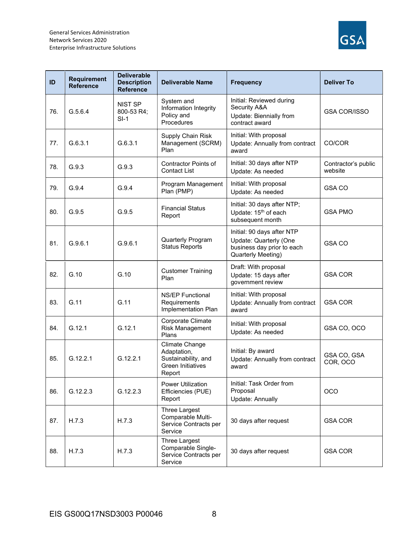

| ID  | <b>Requirement</b><br><b>Reference</b> | <b>Deliverable</b><br><b>Description</b><br><b>Reference</b> | <b>Deliverable Name</b>                                                                    | <b>Frequency</b>                                                                                         | <b>Deliver To</b>              |
|-----|----------------------------------------|--------------------------------------------------------------|--------------------------------------------------------------------------------------------|----------------------------------------------------------------------------------------------------------|--------------------------------|
| 76. | G.5.6.4                                | NIST SP<br>800-53 R4;<br>$SI-1$                              | System and<br>Information Integrity<br>Policy and<br>Procedures                            | Initial: Reviewed during<br>Security A&A<br>Update: Biennially from<br>contract award                    | <b>GSA COR/ISSO</b>            |
| 77. | G.6.3.1                                | G.6.3.1                                                      | Supply Chain Risk<br>Management (SCRM)<br>Plan                                             | Initial: With proposal<br>Update: Annually from contract<br>award                                        | CO/COR                         |
| 78. | G.9.3                                  | G.9.3                                                        | <b>Contractor Points of</b><br><b>Contact List</b>                                         | Initial: 30 days after NTP<br>Update: As needed                                                          | Contractor's public<br>website |
| 79. | G.9.4                                  | G.9.4                                                        | Program Management<br>Plan (PMP)                                                           | Initial: With proposal<br>Update: As needed                                                              | <b>GSA CO</b>                  |
| 80. | G.9.5                                  | G.9.5                                                        | <b>Financial Status</b><br>Report                                                          | Initial: 30 days after NTP;<br>Update: 15 <sup>th</sup> of each<br>subsequent month                      | <b>GSA PMO</b>                 |
| 81. | G.9.6.1                                | G.9.6.1                                                      | Quarterly Program<br><b>Status Reports</b>                                                 | Initial: 90 days after NTP<br>Update: Quarterly (One<br>business day prior to each<br>Quarterly Meeting) | GSA CO                         |
| 82. | G.10                                   | G.10                                                         | <b>Customer Training</b><br>Plan                                                           | Draft: With proposal<br>Update: 15 days after<br>government review                                       | <b>GSA COR</b>                 |
| 83. | G.11                                   | G.11                                                         | <b>NS/EP Functional</b><br>Requirements<br>Implementation Plan                             | Initial: With proposal<br>Update: Annually from contract<br>award                                        | <b>GSA COR</b>                 |
| 84. | G.12.1                                 | G.12.1                                                       | Corporate Climate<br><b>Risk Management</b><br>Plans                                       | Initial: With proposal<br>Update: As needed                                                              | GSA CO, OCO                    |
| 85. | G.12.2.1                               | G.12.2.1                                                     | Climate Change<br>Adaptation,<br>Sustainability, and<br><b>Green Initiatives</b><br>Report | Initial: By award<br>Update: Annually from contract<br>award                                             | GSA CO. GSA<br>COR, OCO        |
| 86. | G.12.2.3                               | G.12.2.3                                                     | <b>Power Utilization</b><br>Efficiencies (PUE)<br>Report                                   | Initial: Task Order from<br>Proposal<br><b>Update: Annually</b>                                          | <b>OCO</b>                     |
| 87. | H.7.3                                  | H.7.3                                                        | Three Largest<br>Comparable Multi-<br>Service Contracts per<br>Service                     | 30 days after request                                                                                    | <b>GSA COR</b>                 |
| 88. | H.7.3                                  | H.7.3                                                        | Three Largest<br>Comparable Single-<br>Service Contracts per<br>Service                    | 30 days after request                                                                                    | <b>GSA COR</b>                 |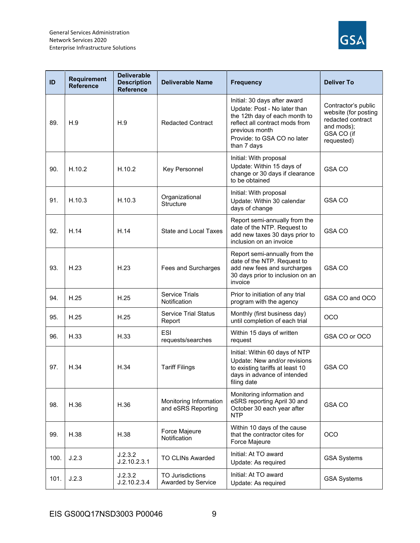

| ID   | <b>Requirement</b><br><b>Reference</b> | <b>Deliverable</b><br><b>Description</b><br><b>Reference</b> | <b>Deliverable Name</b>                      | <b>Frequency</b>                                                                                                                                                                                | <b>Deliver To</b>                                                                                          |
|------|----------------------------------------|--------------------------------------------------------------|----------------------------------------------|-------------------------------------------------------------------------------------------------------------------------------------------------------------------------------------------------|------------------------------------------------------------------------------------------------------------|
| 89.  | H.9                                    | H.9                                                          | <b>Redacted Contract</b>                     | Initial: 30 days after award<br>Update: Post - No later than<br>the 12th day of each month to<br>reflect all contract mods from<br>previous month<br>Provide: to GSA CO no later<br>than 7 days | Contractor's public<br>website (for posting<br>redacted contract<br>and mods);<br>GSA CO (if<br>requested) |
| 90.  | H.10.2                                 | H.10.2                                                       | Key Personnel                                | Initial: With proposal<br>Update: Within 15 days of<br>change or 30 days if clearance<br>to be obtained                                                                                         | <b>GSA CO</b>                                                                                              |
| 91.  | H.10.3                                 | H.10.3                                                       | Organizational<br><b>Structure</b>           | Initial: With proposal<br>Update: Within 30 calendar<br>days of change                                                                                                                          | <b>GSA CO</b>                                                                                              |
| 92.  | H.14                                   | H.14                                                         | <b>State and Local Taxes</b>                 | Report semi-annually from the<br>date of the NTP. Request to<br>add new taxes 30 days prior to<br>inclusion on an invoice                                                                       | <b>GSA CO</b>                                                                                              |
| 93.  | H.23                                   | H.23                                                         | Fees and Surcharges                          | Report semi-annually from the<br>date of the NTP. Request to<br>add new fees and surcharges<br>30 days prior to inclusion on an<br>invoice                                                      | <b>GSA CO</b>                                                                                              |
| 94.  | H.25                                   | H.25                                                         | <b>Service Trials</b><br>Notification        | Prior to initiation of any trial<br>program with the agency                                                                                                                                     | GSA CO and OCO                                                                                             |
| 95.  | H.25                                   | H.25                                                         | <b>Service Trial Status</b><br>Report        | Monthly (first business day)<br>until completion of each trial                                                                                                                                  | <b>OCO</b>                                                                                                 |
| 96.  | H.33                                   | H.33                                                         | ESI<br>requests/searches                     | Within 15 days of written<br>request                                                                                                                                                            | GSA CO or OCO                                                                                              |
| 97.  | H.34                                   | H.34                                                         | <b>Tariff Filings</b>                        | Initial: Within 60 days of NTP<br>Update: New and/or revisions<br>to existing tariffs at least 10<br>days in advance of intended<br>filing date                                                 | <b>GSA CO</b>                                                                                              |
| 98.  | H.36                                   | H.36                                                         | Monitoring Information<br>and eSRS Reporting | Monitoring information and<br>eSRS reporting April 30 and<br>October 30 each year after<br><b>NTP</b>                                                                                           | <b>GSA CO</b>                                                                                              |
| 99.  | H.38                                   | H.38                                                         | Force Majeure<br>Notification                | Within 10 days of the cause<br>that the contractor cites for<br>Force Majeure                                                                                                                   | <b>OCO</b>                                                                                                 |
| 100. | J.2.3                                  | J.2.3.2<br>J.2.10.2.3.1                                      | <b>TO CLINs Awarded</b>                      | Initial: At TO award<br>Update: As required                                                                                                                                                     | <b>GSA Systems</b>                                                                                         |
| 101. | J.2.3                                  | J.2.3.2<br>J.2.10.2.3.4                                      | TO Jurisdictions<br>Awarded by Service       | Initial: At TO award<br>Update: As required                                                                                                                                                     | <b>GSA Systems</b>                                                                                         |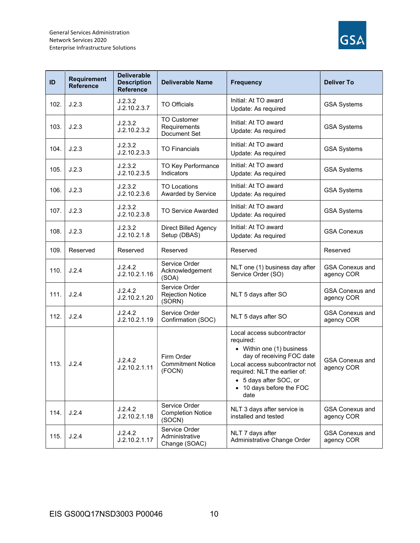

| ID   | <b>Requirement</b><br><b>Reference</b> | <b>Deliverable</b><br><b>Description</b><br><b>Reference</b> | <b>Deliverable Name</b>                             | <b>Frequency</b>                                                                                                                                                                                                                   | <b>Deliver To</b>                    |
|------|----------------------------------------|--------------------------------------------------------------|-----------------------------------------------------|------------------------------------------------------------------------------------------------------------------------------------------------------------------------------------------------------------------------------------|--------------------------------------|
| 102. | J.2.3                                  | J.2.3.2<br>J.2.10.2.3.7                                      | <b>TO Officials</b>                                 | Initial: At TO award<br>Update: As required                                                                                                                                                                                        | <b>GSA Systems</b>                   |
| 103. | J.2.3                                  | J.2.3.2<br>J.2.10.2.3.2                                      | <b>TO Customer</b><br>Requirements<br>Document Set  | Initial: At TO award<br>Update: As required                                                                                                                                                                                        | <b>GSA Systems</b>                   |
| 104. | J.2.3                                  | J.2.3.2<br>J.2.10.2.3.3                                      | <b>TO Financials</b>                                | Initial: At TO award<br>Update: As required                                                                                                                                                                                        | <b>GSA Systems</b>                   |
| 105. | J.2.3                                  | J.2.3.2<br>J.2.10.2.3.5                                      | TO Key Performance<br>Indicators                    | Initial: At TO award<br>Update: As required                                                                                                                                                                                        | <b>GSA Systems</b>                   |
| 106. | J.2.3                                  | J.2.3.2<br>J.2.10.2.3.6                                      | <b>TO Locations</b><br>Awarded by Service           | Initial: At TO award<br>Update: As required                                                                                                                                                                                        | <b>GSA Systems</b>                   |
| 107. | J.2.3                                  | J.2.3.2<br>J.2.10.2.3.8                                      | <b>TO Service Awarded</b>                           | Initial: At TO award<br>Update: As required                                                                                                                                                                                        | <b>GSA Systems</b>                   |
| 108. | J.2.3                                  | J.2.3.2<br>J.2.10.2.1.8                                      | <b>Direct Billed Agency</b><br>Setup (DBAS)         | Initial: At TO award<br>Update: As required                                                                                                                                                                                        | <b>GSA Conexus</b>                   |
| 109. | Reserved                               | Reserved                                                     | Reserved                                            | Reserved                                                                                                                                                                                                                           | Reserved                             |
| 110. | J.2.4                                  | J.2.4.2<br>J.2.10.2.1.16                                     | Service Order<br>Acknowledgement<br>(SOA)           | NLT one (1) business day after<br>Service Order (SO)                                                                                                                                                                               | <b>GSA Conexus and</b><br>agency COR |
| 111. | J.2.4                                  | J.2.4.2<br>J.2.10.2.1.20                                     | Service Order<br><b>Rejection Notice</b><br>(SORN)  | NLT 5 days after SO                                                                                                                                                                                                                | <b>GSA Conexus and</b><br>agency COR |
| 112. | J.2.4                                  | J.2.4.2<br>J.2.10.2.1.19                                     | Service Order<br>Confirmation (SOC)                 | NLT 5 days after SO                                                                                                                                                                                                                | <b>GSA Conexus and</b><br>agency COR |
| 113. | J.2.4                                  | J.2.4.2<br>J.2.10.2.1.11                                     | Firm Order<br><b>Commitment Notice</b><br>(FOCN)    | Local access subcontractor<br>required:<br>• Within one (1) business<br>day of receiving FOC date<br>Local access subcontractor not<br>required: NLT the earlier of:<br>• 5 days after SOC, or<br>• 10 days before the FOC<br>date | <b>GSA Conexus and</b><br>agency COR |
| 114. | J.2.4                                  | J.2.4.2<br>J.2.10.2.1.18                                     | Service Order<br><b>Completion Notice</b><br>(SOCN) | NLT 3 days after service is<br>installed and tested                                                                                                                                                                                | <b>GSA Conexus and</b><br>agency COR |
| 115. | J.2.4                                  | J.2.4.2<br>J.2.10.2.1.17                                     | Service Order<br>Administrative<br>Change (SOAC)    | NLT 7 days after<br>Administrative Change Order                                                                                                                                                                                    | <b>GSA Conexus and</b><br>agency COR |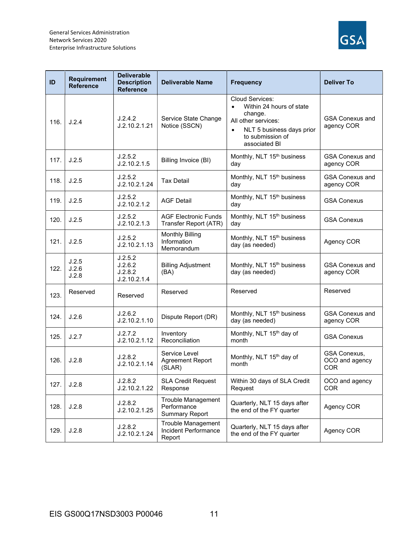

| ID   | <b>Requirement</b><br><b>Reference</b> | <b>Deliverable</b><br><b>Description</b><br><b>Reference</b> | <b>Deliverable Name</b>                                     | <b>Frequency</b>                                                                                                                                                          | <b>Deliver To</b>                            |
|------|----------------------------------------|--------------------------------------------------------------|-------------------------------------------------------------|---------------------------------------------------------------------------------------------------------------------------------------------------------------------------|----------------------------------------------|
| 116. | J.2.4                                  | J.2.4.2<br>J.2.10.2.1.21                                     | Service State Change<br>Notice (SSCN)                       | Cloud Services:<br>Within 24 hours of state<br>$\bullet$<br>change.<br>All other services:<br>NLT 5 business days prior<br>$\bullet$<br>to submission of<br>associated BI | <b>GSA Conexus and</b><br>agency COR         |
| 117. | J.2.5                                  | J.2.5.2<br>J.2.10.2.1.5                                      | Billing Invoice (BI)                                        | Monthly, NLT 15 <sup>th</sup> business<br>day                                                                                                                             | <b>GSA Conexus and</b><br>agency COR         |
| 118. | J.2.5                                  | J.2.5.2<br>J.2.10.2.1.24                                     | <b>Tax Detail</b>                                           | Monthly, NLT 15 <sup>th</sup> business<br>day                                                                                                                             | <b>GSA Conexus and</b><br>agency COR         |
| 119. | J.2.5                                  | J.2.5.2<br>J.2.10.2.1.2                                      | <b>AGF Detail</b>                                           | Monthly, NLT 15 <sup>th</sup> business<br>day                                                                                                                             | <b>GSA Conexus</b>                           |
| 120. | J.2.5                                  | J.2.5.2<br>J.2.10.2.1.3                                      | <b>AGF Electronic Funds</b><br>Transfer Report (ATR)        | Monthly, NLT 15 <sup>th</sup> business<br>day                                                                                                                             | <b>GSA Conexus</b>                           |
| 121. | J.2.5                                  | J.2.5.2<br>J.2.10.2.1.13                                     | <b>Monthly Billing</b><br>Information<br>Memorandum         | Monthly, NLT 15 <sup>th</sup> business<br>day (as needed)                                                                                                                 | Agency COR                                   |
| 122. | J.2.5<br>J.2.6<br>J.2.8                | J.2.5.2<br>J.2.6.2<br>J.2.8.2<br>J.2.10.2.1.4                | <b>Billing Adjustment</b><br>(BA)                           | Monthly, NLT 15 <sup>th</sup> business<br>day (as needed)                                                                                                                 | <b>GSA Conexus and</b><br>agency COR         |
| 123. | Reserved                               | Reserved                                                     | Reserved                                                    | Reserved                                                                                                                                                                  | Reserved                                     |
| 124. | J.2.6                                  | J.2.6.2<br>J.2.10.2.1.10                                     | Dispute Report (DR)                                         | Monthly, NLT 15 <sup>th</sup> business<br>day (as needed)                                                                                                                 | <b>GSA Conexus and</b><br>agency COR         |
| 125. | J.2.7                                  | J.2.7.2<br>J.2.10.2.1.12                                     | Inventory<br>Reconciliation                                 | Monthly, NLT 15 <sup>th</sup> day of<br>month                                                                                                                             | <b>GSA Conexus</b>                           |
| 126. | J.2.8                                  | J.2.8.2<br>J.2.10.2.1.14                                     | Service Level<br>Agreement Report<br>(SLAR)                 | Monthly, NLT 15 <sup>th</sup> day of<br>month                                                                                                                             | GSA Conexus,<br>OCO and agency<br><b>COR</b> |
| 127. | J.2.8                                  | J.2.8.2<br>J.2.10.2.1.22                                     | <b>SLA Credit Request</b><br>Response                       | Within 30 days of SLA Credit<br>Request                                                                                                                                   | OCO and agency<br><b>COR</b>                 |
| 128. | J.2.8                                  | J.2.8.2<br>J.2.10.2.1.25                                     | Trouble Management<br>Performance<br><b>Summary Report</b>  | Quarterly, NLT 15 days after<br>the end of the FY quarter                                                                                                                 | Agency COR                                   |
| 129. | J.2.8                                  | J.2.8.2<br>J.2.10.2.1.24                                     | <b>Trouble Management</b><br>Incident Performance<br>Report | Quarterly, NLT 15 days after<br>the end of the FY quarter                                                                                                                 | Agency COR                                   |